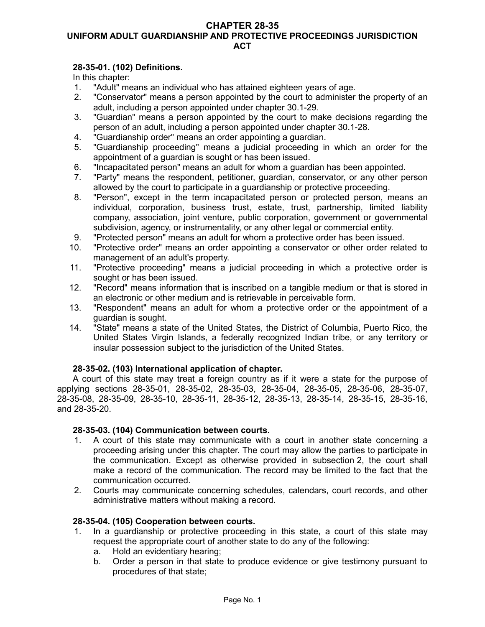#### **CHAPTER 28-35 UNIFORM ADULT GUARDIANSHIP AND PROTECTIVE PROCEEDINGS JURISDICTION ACT**

## **28-35-01. (102) Definitions.**

In this chapter:

- 1. "Adult" means an individual who has attained eighteen years of age.
- 2. "Conservator" means a person appointed by the court to administer the property of an adult, including a person appointed under chapter 30.1-29.
- 3. "Guardian" means a person appointed by the court to make decisions regarding the person of an adult, including a person appointed under chapter 30.1-28.
- 4. "Guardianship order" means an order appointing a guardian.
- 5. "Guardianship proceeding" means a judicial proceeding in which an order for the appointment of a guardian is sought or has been issued.
- 6. "Incapacitated person" means an adult for whom a guardian has been appointed.
- 7. "Party" means the respondent, petitioner, guardian, conservator, or any other person allowed by the court to participate in a guardianship or protective proceeding.
- 8. "Person", except in the term incapacitated person or protected person, means an individual, corporation, business trust, estate, trust, partnership, limited liability company, association, joint venture, public corporation, government or governmental subdivision, agency, or instrumentality, or any other legal or commercial entity.
- 9. "Protected person" means an adult for whom a protective order has been issued.
- 10. "Protective order" means an order appointing a conservator or other order related to management of an adult's property.
- 11. "Protective proceeding" means a judicial proceeding in which a protective order is sought or has been issued.
- 12. "Record" means information that is inscribed on a tangible medium or that is stored in an electronic or other medium and is retrievable in perceivable form.
- 13. "Respondent" means an adult for whom a protective order or the appointment of a guardian is sought.
- 14. "State" means a state of the United States, the District of Columbia, Puerto Rico, the United States Virgin Islands, a federally recognized Indian tribe, or any territory or insular possession subject to the jurisdiction of the United States.

## **28-35-02. (103) International application of chapter.**

A court of this state may treat a foreign country as if it were a state for the purpose of applying sections 28-35-01, 28-35-02, 28-35-03, 28-35-04, 28-35-05, 28-35-06, 28-35-07, 28-35-08, 28-35-09, 28-35-10, 28-35-11, 28-35-12, 28-35-13, 28-35-14, 28-35-15, 28-35-16, and 28-35-20.

#### **28-35-03. (104) Communication between courts.**

- 1. A court of this state may communicate with a court in another state concerning a proceeding arising under this chapter. The court may allow the parties to participate in the communication. Except as otherwise provided in subsection 2, the court shall make a record of the communication. The record may be limited to the fact that the communication occurred.
- 2. Courts may communicate concerning schedules, calendars, court records, and other administrative matters without making a record.

#### **28-35-04. (105) Cooperation between courts.**

- 1. In a guardianship or protective proceeding in this state, a court of this state may request the appropriate court of another state to do any of the following:
	- a. Hold an evidentiary hearing;
	- b. Order a person in that state to produce evidence or give testimony pursuant to procedures of that state;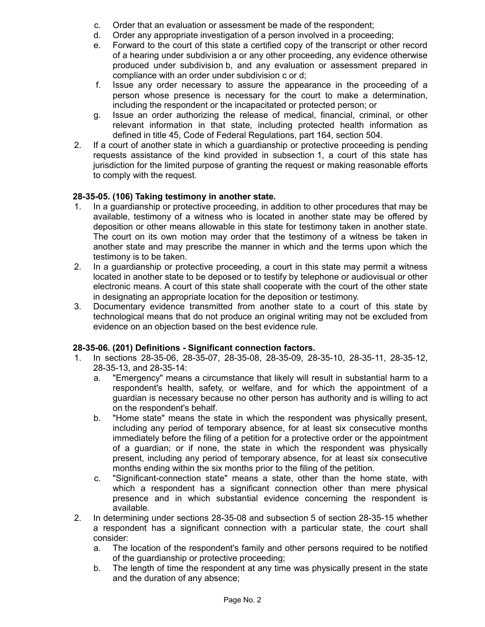- c. Order that an evaluation or assessment be made of the respondent;
- d. Order any appropriate investigation of a person involved in a proceeding;
- e. Forward to the court of this state a certified copy of the transcript or other record of a hearing under subdivision a or any other proceeding, any evidence otherwise produced under subdivision b, and any evaluation or assessment prepared in compliance with an order under subdivision c or d;
- f. Issue any order necessary to assure the appearance in the proceeding of a person whose presence is necessary for the court to make a determination, including the respondent or the incapacitated or protected person; or
- g. Issue an order authorizing the release of medical, financial, criminal, or other relevant information in that state, including protected health information as defined in title 45, Code of Federal Regulations, part 164, section 504.
- 2. If a court of another state in which a guardianship or protective proceeding is pending requests assistance of the kind provided in subsection 1, a court of this state has jurisdiction for the limited purpose of granting the request or making reasonable efforts to comply with the request.

# **28-35-05. (106) Taking testimony in another state.**

- 1. In a guardianship or protective proceeding, in addition to other procedures that may be available, testimony of a witness who is located in another state may be offered by deposition or other means allowable in this state for testimony taken in another state. The court on its own motion may order that the testimony of a witness be taken in another state and may prescribe the manner in which and the terms upon which the testimony is to be taken.
- 2. In a guardianship or protective proceeding, a court in this state may permit a witness located in another state to be deposed or to testify by telephone or audiovisual or other electronic means. A court of this state shall cooperate with the court of the other state in designating an appropriate location for the deposition or testimony.
- 3. Documentary evidence transmitted from another state to a court of this state by technological means that do not produce an original writing may not be excluded from evidence on an objection based on the best evidence rule.

## **28-35-06. (201) Definitions - Significant connection factors.**

- 1. In sections 28-35-06, 28-35-07, 28-35-08, 28-35-09, 28-35-10, 28-35-11, 28-35-12, 28-35-13, and 28-35-14:
	- a. "Emergency" means a circumstance that likely will result in substantial harm to a respondent's health, safety, or welfare, and for which the appointment of a guardian is necessary because no other person has authority and is willing to act on the respondent's behalf.
	- b. "Home state" means the state in which the respondent was physically present, including any period of temporary absence, for at least six consecutive months immediately before the filing of a petition for a protective order or the appointment of a guardian; or if none, the state in which the respondent was physically present, including any period of temporary absence, for at least six consecutive months ending within the six months prior to the filing of the petition.
	- c. "Significant-connection state" means a state, other than the home state, with which a respondent has a significant connection other than mere physical presence and in which substantial evidence concerning the respondent is available.
- 2. In determining under sections 28-35-08 and subsection 5 of section 28-35-15 whether a respondent has a significant connection with a particular state, the court shall consider:
	- a. The location of the respondent's family and other persons required to be notified of the guardianship or protective proceeding;
	- b. The length of time the respondent at any time was physically present in the state and the duration of any absence;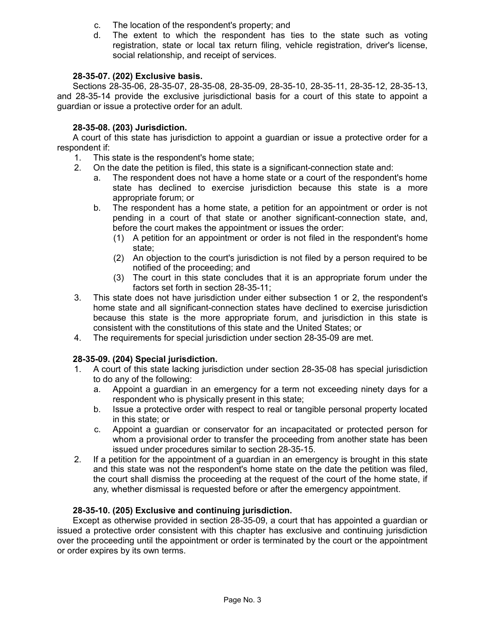- c. The location of the respondent's property; and
- d. The extent to which the respondent has ties to the state such as voting registration, state or local tax return filing, vehicle registration, driver's license, social relationship, and receipt of services.

# **28-35-07. (202) Exclusive basis.**

Sections 28-35-06, 28-35-07, 28-35-08, 28-35-09, 28-35-10, 28-35-11, 28-35-12, 28-35-13, and 28-35-14 provide the exclusive jurisdictional basis for a court of this state to appoint a guardian or issue a protective order for an adult.

# **28-35-08. (203) Jurisdiction.**

A court of this state has jurisdiction to appoint a guardian or issue a protective order for a respondent if:

- 1. This state is the respondent's home state;
- 2. On the date the petition is filed, this state is a significant-connection state and:
	- a. The respondent does not have a home state or a court of the respondent's home state has declined to exercise jurisdiction because this state is a more appropriate forum; or
	- b. The respondent has a home state, a petition for an appointment or order is not pending in a court of that state or another significant-connection state, and, before the court makes the appointment or issues the order:
		- (1) A petition for an appointment or order is not filed in the respondent's home state;
		- (2) An objection to the court's jurisdiction is not filed by a person required to be notified of the proceeding; and
		- (3) The court in this state concludes that it is an appropriate forum under the factors set forth in section 28-35-11;
- 3. This state does not have jurisdiction under either subsection 1 or 2, the respondent's home state and all significant-connection states have declined to exercise jurisdiction because this state is the more appropriate forum, and jurisdiction in this state is consistent with the constitutions of this state and the United States; or
- 4. The requirements for special jurisdiction under section 28-35-09 are met.

## **28-35-09. (204) Special jurisdiction.**

- 1. A court of this state lacking jurisdiction under section 28-35-08 has special jurisdiction to do any of the following:
	- a. Appoint a guardian in an emergency for a term not exceeding ninety days for a respondent who is physically present in this state;
	- b. Issue a protective order with respect to real or tangible personal property located in this state; or
	- c. Appoint a guardian or conservator for an incapacitated or protected person for whom a provisional order to transfer the proceeding from another state has been issued under procedures similar to section 28-35-15.
- 2. If a petition for the appointment of a guardian in an emergency is brought in this state and this state was not the respondent's home state on the date the petition was filed, the court shall dismiss the proceeding at the request of the court of the home state, if any, whether dismissal is requested before or after the emergency appointment.

## **28-35-10. (205) Exclusive and continuing jurisdiction.**

Except as otherwise provided in section 28-35-09, a court that has appointed a guardian or issued a protective order consistent with this chapter has exclusive and continuing jurisdiction over the proceeding until the appointment or order is terminated by the court or the appointment or order expires by its own terms.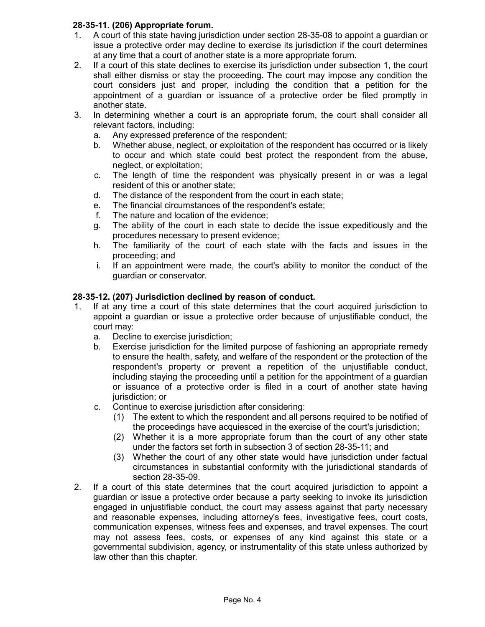## **28-35-11. (206) Appropriate forum.**

- 1. A court of this state having jurisdiction under section 28-35-08 to appoint a guardian or issue a protective order may decline to exercise its jurisdiction if the court determines at any time that a court of another state is a more appropriate forum.
- 2. If a court of this state declines to exercise its jurisdiction under subsection 1, the court shall either dismiss or stay the proceeding. The court may impose any condition the court considers just and proper, including the condition that a petition for the appointment of a guardian or issuance of a protective order be filed promptly in another state.
- 3. In determining whether a court is an appropriate forum, the court shall consider all relevant factors, including:
	- a. Any expressed preference of the respondent;
	- b. Whether abuse, neglect, or exploitation of the respondent has occurred or is likely to occur and which state could best protect the respondent from the abuse, neglect, or exploitation;
	- c. The length of time the respondent was physically present in or was a legal resident of this or another state;
	- d. The distance of the respondent from the court in each state;
	- e. The financial circumstances of the respondent's estate;
	- f. The nature and location of the evidence;
	- g. The ability of the court in each state to decide the issue expeditiously and the procedures necessary to present evidence;
	- h. The familiarity of the court of each state with the facts and issues in the proceeding; and
	- i. If an appointment were made, the court's ability to monitor the conduct of the guardian or conservator.

#### **28-35-12. (207) Jurisdiction declined by reason of conduct.**

- 1. If at any time a court of this state determines that the court acquired jurisdiction to appoint a guardian or issue a protective order because of unjustifiable conduct, the court may:
	- a. Decline to exercise jurisdiction;
	- b. Exercise jurisdiction for the limited purpose of fashioning an appropriate remedy to ensure the health, safety, and welfare of the respondent or the protection of the respondent's property or prevent a repetition of the unjustifiable conduct, including staying the proceeding until a petition for the appointment of a guardian or issuance of a protective order is filed in a court of another state having jurisdiction; or
	- c. Continue to exercise jurisdiction after considering:
		- (1) The extent to which the respondent and all persons required to be notified of the proceedings have acquiesced in the exercise of the court's jurisdiction;
		- (2) Whether it is a more appropriate forum than the court of any other state under the factors set forth in subsection 3 of section 28-35-11; and
		- (3) Whether the court of any other state would have jurisdiction under factual circumstances in substantial conformity with the jurisdictional standards of section 28-35-09.
- 2. If a court of this state determines that the court acquired jurisdiction to appoint a guardian or issue a protective order because a party seeking to invoke its jurisdiction engaged in unjustifiable conduct, the court may assess against that party necessary and reasonable expenses, including attorney's fees, investigative fees, court costs, communication expenses, witness fees and expenses, and travel expenses. The court may not assess fees, costs, or expenses of any kind against this state or a governmental subdivision, agency, or instrumentality of this state unless authorized by law other than this chapter.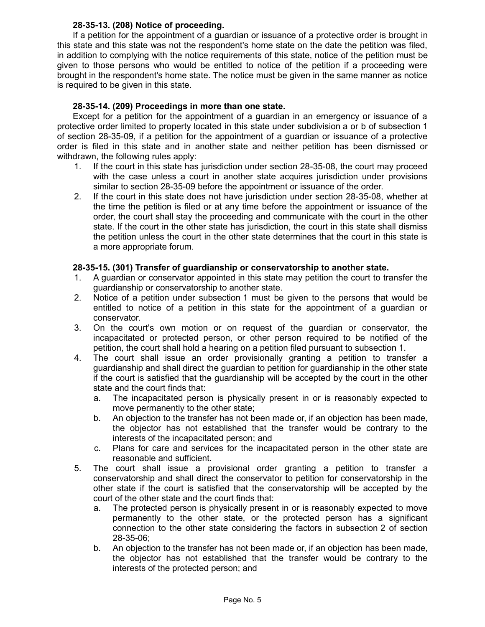#### **28-35-13. (208) Notice of proceeding.**

If a petition for the appointment of a guardian or issuance of a protective order is brought in this state and this state was not the respondent's home state on the date the petition was filed, in addition to complying with the notice requirements of this state, notice of the petition must be given to those persons who would be entitled to notice of the petition if a proceeding were brought in the respondent's home state. The notice must be given in the same manner as notice is required to be given in this state.

## **28-35-14. (209) Proceedings in more than one state.**

Except for a petition for the appointment of a guardian in an emergency or issuance of a protective order limited to property located in this state under subdivision a or b of subsection 1 of section 28-35-09, if a petition for the appointment of a guardian or issuance of a protective order is filed in this state and in another state and neither petition has been dismissed or withdrawn, the following rules apply:

- 1. If the court in this state has jurisdiction under section 28-35-08, the court may proceed with the case unless a court in another state acquires jurisdiction under provisions similar to section 28-35-09 before the appointment or issuance of the order.
- 2. If the court in this state does not have jurisdiction under section 28-35-08, whether at the time the petition is filed or at any time before the appointment or issuance of the order, the court shall stay the proceeding and communicate with the court in the other state. If the court in the other state has jurisdiction, the court in this state shall dismiss the petition unless the court in the other state determines that the court in this state is a more appropriate forum.

#### **28-35-15. (301) Transfer of guardianship or conservatorship to another state.**

- 1. A guardian or conservator appointed in this state may petition the court to transfer the guardianship or conservatorship to another state.
- 2. Notice of a petition under subsection 1 must be given to the persons that would be entitled to notice of a petition in this state for the appointment of a guardian or conservator.
- 3. On the court's own motion or on request of the guardian or conservator, the incapacitated or protected person, or other person required to be notified of the petition, the court shall hold a hearing on a petition filed pursuant to subsection 1.
- 4. The court shall issue an order provisionally granting a petition to transfer a guardianship and shall direct the guardian to petition for guardianship in the other state if the court is satisfied that the guardianship will be accepted by the court in the other state and the court finds that:
	- a. The incapacitated person is physically present in or is reasonably expected to move permanently to the other state;
	- b. An objection to the transfer has not been made or, if an objection has been made, the objector has not established that the transfer would be contrary to the interests of the incapacitated person; and
	- c. Plans for care and services for the incapacitated person in the other state are reasonable and sufficient.
- 5. The court shall issue a provisional order granting a petition to transfer a conservatorship and shall direct the conservator to petition for conservatorship in the other state if the court is satisfied that the conservatorship will be accepted by the court of the other state and the court finds that:
	- a. The protected person is physically present in or is reasonably expected to move permanently to the other state, or the protected person has a significant connection to the other state considering the factors in subsection 2 of section 28-35-06;
	- b. An objection to the transfer has not been made or, if an objection has been made, the objector has not established that the transfer would be contrary to the interests of the protected person; and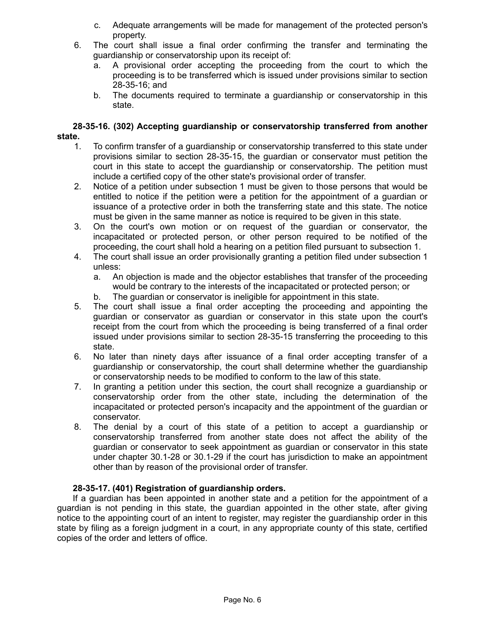- c. Adequate arrangements will be made for management of the protected person's property.
- 6. The court shall issue a final order confirming the transfer and terminating the guardianship or conservatorship upon its receipt of:
	- a. A provisional order accepting the proceeding from the court to which the proceeding is to be transferred which is issued under provisions similar to section 28-35-16; and
	- b. The documents required to terminate a guardianship or conservatorship in this state.

## **28-35-16. (302) Accepting guardianship or conservatorship transferred from another state.**

- 1. To confirm transfer of a guardianship or conservatorship transferred to this state under provisions similar to section 28-35-15, the guardian or conservator must petition the court in this state to accept the guardianship or conservatorship. The petition must include a certified copy of the other state's provisional order of transfer.
- 2. Notice of a petition under subsection 1 must be given to those persons that would be entitled to notice if the petition were a petition for the appointment of a guardian or issuance of a protective order in both the transferring state and this state. The notice must be given in the same manner as notice is required to be given in this state.
- 3. On the court's own motion or on request of the guardian or conservator, the incapacitated or protected person, or other person required to be notified of the proceeding, the court shall hold a hearing on a petition filed pursuant to subsection 1.
- 4. The court shall issue an order provisionally granting a petition filed under subsection 1 unless:
	- a. An objection is made and the objector establishes that transfer of the proceeding would be contrary to the interests of the incapacitated or protected person; or
	- b. The guardian or conservator is ineligible for appointment in this state.
- 5. The court shall issue a final order accepting the proceeding and appointing the guardian or conservator as guardian or conservator in this state upon the court's receipt from the court from which the proceeding is being transferred of a final order issued under provisions similar to section 28-35-15 transferring the proceeding to this state.
- 6. No later than ninety days after issuance of a final order accepting transfer of a guardianship or conservatorship, the court shall determine whether the guardianship or conservatorship needs to be modified to conform to the law of this state.
- 7. In granting a petition under this section, the court shall recognize a guardianship or conservatorship order from the other state, including the determination of the incapacitated or protected person's incapacity and the appointment of the guardian or conservator.
- 8. The denial by a court of this state of a petition to accept a guardianship or conservatorship transferred from another state does not affect the ability of the guardian or conservator to seek appointment as guardian or conservator in this state under chapter 30.1-28 or 30.1-29 if the court has jurisdiction to make an appointment other than by reason of the provisional order of transfer.

# **28-35-17. (401) Registration of guardianship orders.**

If a guardian has been appointed in another state and a petition for the appointment of a guardian is not pending in this state, the guardian appointed in the other state, after giving notice to the appointing court of an intent to register, may register the guardianship order in this state by filing as a foreign judgment in a court, in any appropriate county of this state, certified copies of the order and letters of office.